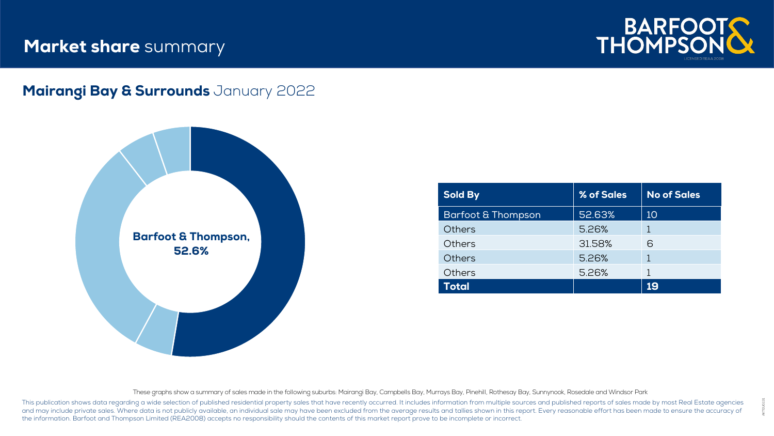## **Market share** summary



#### Mairangi Bay & Surrounds January 2022



| <b>Sold By</b>                | % of Sales | <b>No of Sales</b> |
|-------------------------------|------------|--------------------|
| <b>Barfoot &amp; Thompson</b> | 52.63%     | 10                 |
| Others                        | 5.26%      |                    |
| Others                        | 31.58%     | 6                  |
| <b>Others</b>                 | 5.26%      |                    |
| Others                        | 5.26%      |                    |
| Total                         |            | 19                 |

These graphs show a summary of sales made in the following suburbs: Mairangi Bay, Campbells Bay, Murrays Bay, Pinehill, Rothesay Bay, Sunnynook, Rosedale and Windsor Park

This publication shows data regarding a wide selection of published residential property sales that have recently occurred. It includes information from multiple sources and published reports of sales made by most Real Est and may include private sales. Where data is not publicly available, an individual sale may have been excluded from the average results and tallies shown in this report. Every reasonable effort has been made to ensure the the information. Barfoot and Thompson Limited (REA2008) accepts no responsibility should the contents of this market report prove to be incomplete or incorrect.